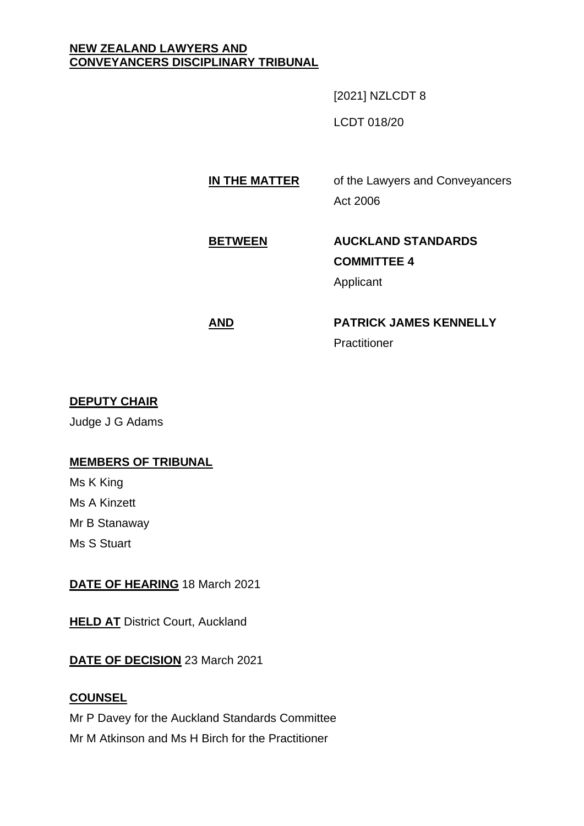#### **NEW ZEALAND LAWYERS AND CONVEYANCERS DISCIPLINARY TRIBUNAL**

[2021] NZLCDT 8

LCDT 018/20

# **IN THE MATTER** of the Lawyers and Conveyancers Act 2006

# **BETWEEN AUCKLAND STANDARDS COMMITTEE 4** Applicant

# **AND PATRICK JAMES KENNELLY Practitioner**

# **DEPUTY CHAIR**

Judge J G Adams

# **MEMBERS OF TRIBUNAL**

Ms K King Ms A Kinzett Mr B Stanaway Ms S Stuart

## **DATE OF HEARING** 18 March 2021

**HELD AT District Court, Auckland** 

# **DATE OF DECISION** 23 March 2021

## **COUNSEL**

Mr P Davey for the Auckland Standards Committee Mr M Atkinson and Ms H Birch for the Practitioner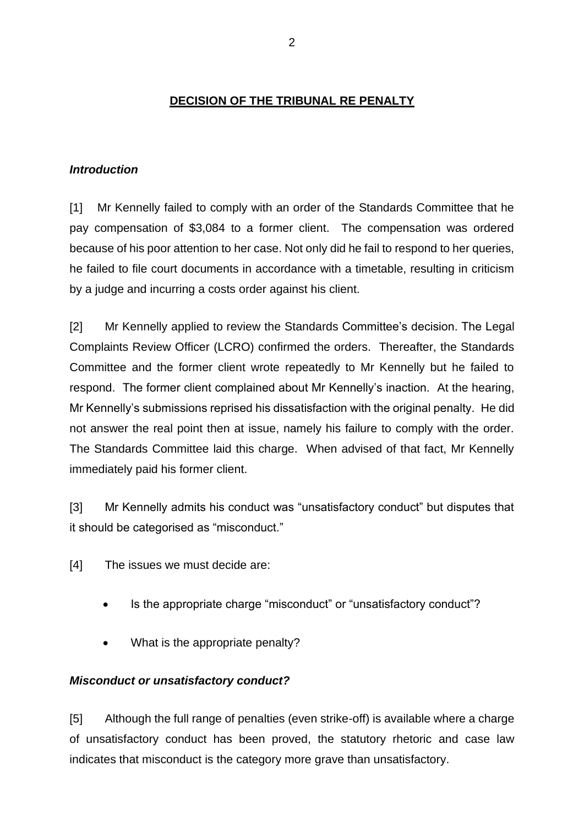## **DECISION OF THE TRIBUNAL RE PENALTY**

### *Introduction*

[1] Mr Kennelly failed to comply with an order of the Standards Committee that he pay compensation of \$3,084 to a former client. The compensation was ordered because of his poor attention to her case. Not only did he fail to respond to her queries, he failed to file court documents in accordance with a timetable, resulting in criticism by a judge and incurring a costs order against his client.

[2] Mr Kennelly applied to review the Standards Committee's decision. The Legal Complaints Review Officer (LCRO) confirmed the orders. Thereafter, the Standards Committee and the former client wrote repeatedly to Mr Kennelly but he failed to respond. The former client complained about Mr Kennelly's inaction. At the hearing, Mr Kennelly's submissions reprised his dissatisfaction with the original penalty. He did not answer the real point then at issue, namely his failure to comply with the order. The Standards Committee laid this charge. When advised of that fact, Mr Kennelly immediately paid his former client.

[3] Mr Kennelly admits his conduct was "unsatisfactory conduct" but disputes that it should be categorised as "misconduct."

[4] The issues we must decide are:

- Is the appropriate charge "misconduct" or "unsatisfactory conduct"?
- What is the appropriate penalty?

## *Misconduct or unsatisfactory conduct?*

[5] Although the full range of penalties (even strike-off) is available where a charge of unsatisfactory conduct has been proved, the statutory rhetoric and case law indicates that misconduct is the category more grave than unsatisfactory.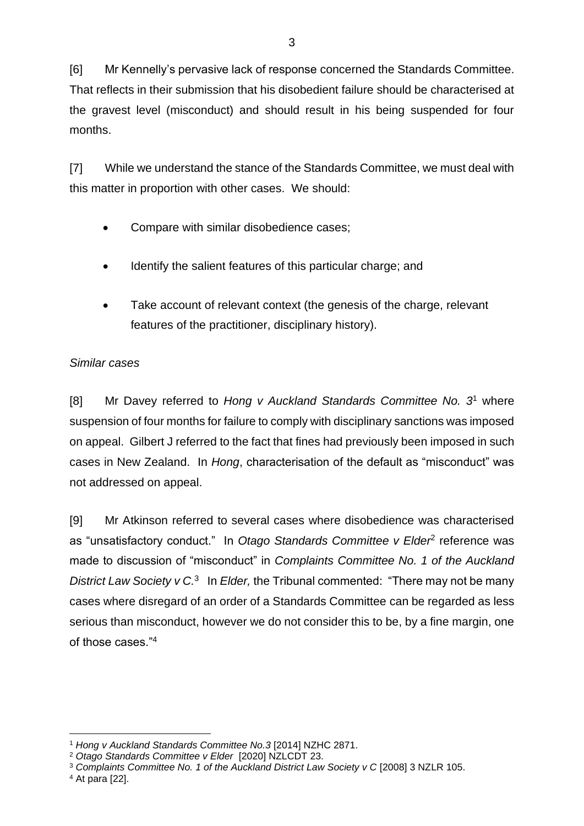[6] Mr Kennelly's pervasive lack of response concerned the Standards Committee. That reflects in their submission that his disobedient failure should be characterised at the gravest level (misconduct) and should result in his being suspended for four months.

[7] While we understand the stance of the Standards Committee, we must deal with this matter in proportion with other cases. We should:

- Compare with similar disobedience cases;
- Identify the salient features of this particular charge; and
- Take account of relevant context (the genesis of the charge, relevant features of the practitioner, disciplinary history).

## *Similar cases*

[8] Mr Davey referred to *Hong v Auckland Standards Committee No. 3* <sup>1</sup> where suspension of four months for failure to comply with disciplinary sanctions was imposed on appeal. Gilbert J referred to the fact that fines had previously been imposed in such cases in New Zealand. In *Hong*, characterisation of the default as "misconduct" was not addressed on appeal.

[9] Mr Atkinson referred to several cases where disobedience was characterised as "unsatisfactory conduct." In Otago Standards Committee v Elder<sup>2</sup> reference was made to discussion of "misconduct" in *Complaints Committee No. 1 of the Auckland*  District Law Society v C.<sup>3</sup> In *Elder*, the Tribunal commented: "There may not be many cases where disregard of an order of a Standards Committee can be regarded as less serious than misconduct, however we do not consider this to be, by a fine margin, one of those cases."<sup>4</sup>

<sup>4</sup> At para [22].

<sup>1</sup> *Hong v Auckland Standards Committee No.3* [2014] NZHC 2871.

<sup>2</sup> *Otago Standards Committee v Elder* [2020] NZLCDT 23.

<sup>3</sup> *Complaints Committee No. 1 of the Auckland District Law Society v C* [2008] 3 NZLR 105.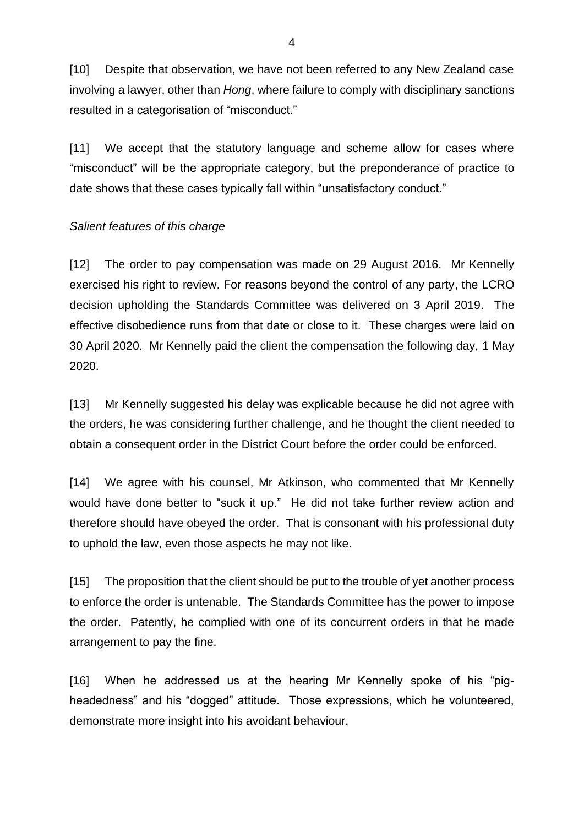[10] Despite that observation, we have not been referred to any New Zealand case involving a lawyer, other than *Hong*, where failure to comply with disciplinary sanctions resulted in a categorisation of "misconduct."

[11] We accept that the statutory language and scheme allow for cases where "misconduct" will be the appropriate category, but the preponderance of practice to date shows that these cases typically fall within "unsatisfactory conduct."

#### *Salient features of this charge*

[12] The order to pay compensation was made on 29 August 2016. Mr Kennelly exercised his right to review. For reasons beyond the control of any party, the LCRO decision upholding the Standards Committee was delivered on 3 April 2019. The effective disobedience runs from that date or close to it. These charges were laid on 30 April 2020. Mr Kennelly paid the client the compensation the following day, 1 May 2020.

[13] Mr Kennelly suggested his delay was explicable because he did not agree with the orders, he was considering further challenge, and he thought the client needed to obtain a consequent order in the District Court before the order could be enforced.

[14] We agree with his counsel, Mr Atkinson, who commented that Mr Kennelly would have done better to "suck it up." He did not take further review action and therefore should have obeyed the order. That is consonant with his professional duty to uphold the law, even those aspects he may not like.

[15] The proposition that the client should be put to the trouble of yet another process to enforce the order is untenable. The Standards Committee has the power to impose the order. Patently, he complied with one of its concurrent orders in that he made arrangement to pay the fine.

[16] When he addressed us at the hearing Mr Kennelly spoke of his "pigheadedness" and his "dogged" attitude. Those expressions, which he volunteered, demonstrate more insight into his avoidant behaviour.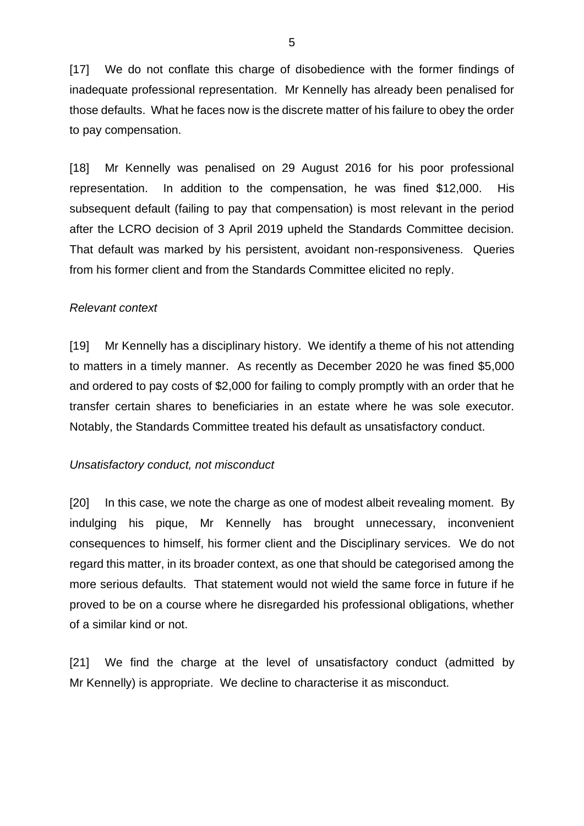[17] We do not conflate this charge of disobedience with the former findings of inadequate professional representation. Mr Kennelly has already been penalised for those defaults. What he faces now is the discrete matter of his failure to obey the order to pay compensation.

[18] Mr Kennelly was penalised on 29 August 2016 for his poor professional representation. In addition to the compensation, he was fined \$12,000. His subsequent default (failing to pay that compensation) is most relevant in the period after the LCRO decision of 3 April 2019 upheld the Standards Committee decision. That default was marked by his persistent, avoidant non-responsiveness. Queries from his former client and from the Standards Committee elicited no reply.

#### *Relevant context*

[19] Mr Kennelly has a disciplinary history. We identify a theme of his not attending to matters in a timely manner. As recently as December 2020 he was fined \$5,000 and ordered to pay costs of \$2,000 for failing to comply promptly with an order that he transfer certain shares to beneficiaries in an estate where he was sole executor. Notably, the Standards Committee treated his default as unsatisfactory conduct.

#### *Unsatisfactory conduct, not misconduct*

[20] In this case, we note the charge as one of modest albeit revealing moment. By indulging his pique, Mr Kennelly has brought unnecessary, inconvenient consequences to himself, his former client and the Disciplinary services. We do not regard this matter, in its broader context, as one that should be categorised among the more serious defaults. That statement would not wield the same force in future if he proved to be on a course where he disregarded his professional obligations, whether of a similar kind or not.

[21] We find the charge at the level of unsatisfactory conduct (admitted by Mr Kennelly) is appropriate. We decline to characterise it as misconduct.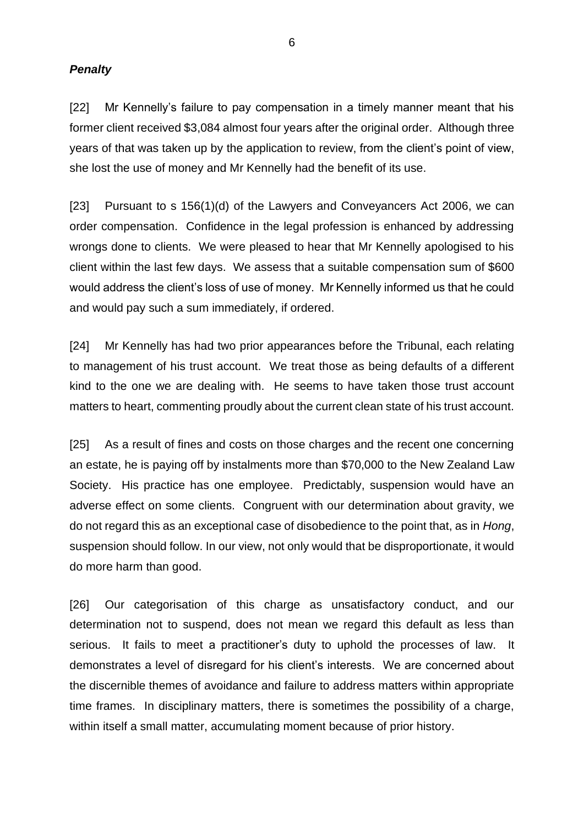#### *Penalty*

[22] Mr Kennelly's failure to pay compensation in a timely manner meant that his former client received \$3,084 almost four years after the original order. Although three years of that was taken up by the application to review, from the client's point of view, she lost the use of money and Mr Kennelly had the benefit of its use.

[23] Pursuant to s 156(1)(d) of the Lawyers and Conveyancers Act 2006, we can order compensation. Confidence in the legal profession is enhanced by addressing wrongs done to clients. We were pleased to hear that Mr Kennelly apologised to his client within the last few days. We assess that a suitable compensation sum of \$600 would address the client's loss of use of money. Mr Kennelly informed us that he could and would pay such a sum immediately, if ordered.

[24] Mr Kennelly has had two prior appearances before the Tribunal, each relating to management of his trust account. We treat those as being defaults of a different kind to the one we are dealing with. He seems to have taken those trust account matters to heart, commenting proudly about the current clean state of his trust account.

[25] As a result of fines and costs on those charges and the recent one concerning an estate, he is paying off by instalments more than \$70,000 to the New Zealand Law Society. His practice has one employee. Predictably, suspension would have an adverse effect on some clients. Congruent with our determination about gravity, we do not regard this as an exceptional case of disobedience to the point that, as in *Hong*, suspension should follow. In our view, not only would that be disproportionate, it would do more harm than good.

[26] Our categorisation of this charge as unsatisfactory conduct, and our determination not to suspend, does not mean we regard this default as less than serious. It fails to meet a practitioner's duty to uphold the processes of law. It demonstrates a level of disregard for his client's interests. We are concerned about the discernible themes of avoidance and failure to address matters within appropriate time frames. In disciplinary matters, there is sometimes the possibility of a charge, within itself a small matter, accumulating moment because of prior history.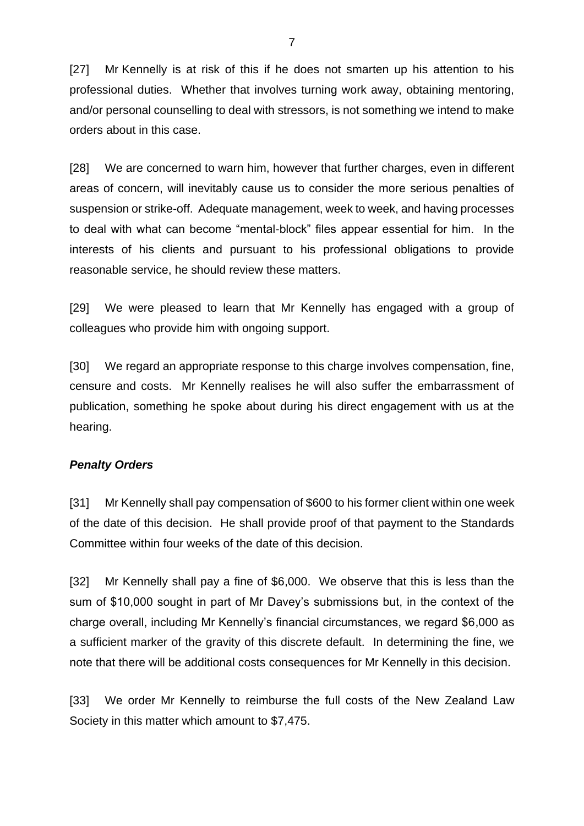[27] Mr Kennelly is at risk of this if he does not smarten up his attention to his professional duties. Whether that involves turning work away, obtaining mentoring, and/or personal counselling to deal with stressors, is not something we intend to make orders about in this case.

[28] We are concerned to warn him, however that further charges, even in different areas of concern, will inevitably cause us to consider the more serious penalties of suspension or strike-off. Adequate management, week to week, and having processes to deal with what can become "mental-block" files appear essential for him. In the interests of his clients and pursuant to his professional obligations to provide reasonable service, he should review these matters.

[29] We were pleased to learn that Mr Kennelly has engaged with a group of colleagues who provide him with ongoing support.

[30] We regard an appropriate response to this charge involves compensation, fine, censure and costs. Mr Kennelly realises he will also suffer the embarrassment of publication, something he spoke about during his direct engagement with us at the hearing.

#### *Penalty Orders*

[31] Mr Kennelly shall pay compensation of \$600 to his former client within one week of the date of this decision. He shall provide proof of that payment to the Standards Committee within four weeks of the date of this decision.

[32] Mr Kennelly shall pay a fine of \$6,000. We observe that this is less than the sum of \$10,000 sought in part of Mr Davey's submissions but, in the context of the charge overall, including Mr Kennelly's financial circumstances, we regard \$6,000 as a sufficient marker of the gravity of this discrete default. In determining the fine, we note that there will be additional costs consequences for Mr Kennelly in this decision.

[33] We order Mr Kennelly to reimburse the full costs of the New Zealand Law Society in this matter which amount to \$7,475.